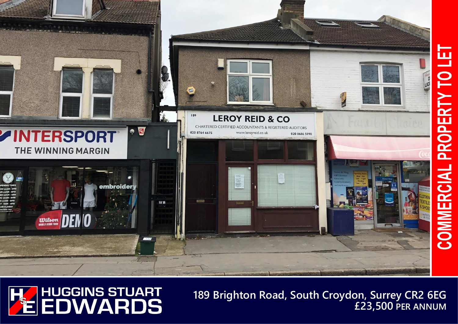



**189 Brighton Road, South Croydon, Surrey CR2 6EG £23,500 PER ANNUM**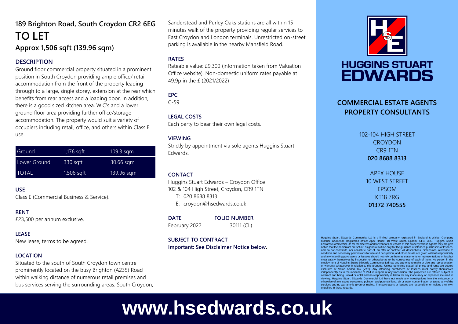## **189 Brighton Road, South Croydon CR2 6EG TO LET Approx 1,506 sqft (139.96 sqm)**

#### **DESCRIPTION**

Ground floor commercial property situated in a prominent position in South Croydon providing ample office/ retail accommodation from the front of the property leading through to a large, single storey, extension at the rear which benefits from rear access and a loading door. In addition, there is a good sized kitchen area, W.C's and a lower ground floor area providing further office/storage accommodation. The property would suit a variety of occupiers including retail, office, and others within Class E use.

| Ground       | 1,176 sqft | 109.3 sqm  |
|--------------|------------|------------|
| Lower Ground | $330$ sqft | 30.66 sqm  |
| <b>TOTAL</b> | 1,506 sqft | 139.96 sqm |

#### **USE**

Class E (Commercial Business & Service).

#### **RENT**

£23,500 per annum exclusive.

#### **LEASE**

New lease, terms to be agreed.

#### **LOCATION**

Situated to the south of South Croydon town centre prominently located on the busy Brighton (A235) Road within walking distance of numerous retail premises and bus services serving the surrounding areas. South Croydon,

Sanderstead and Purley Oaks stations are all within 15 minutes walk of the property providing regular services to East Croydon and London terminals. Unrestricted on-street parking is available in the nearby Mansfield Road.

#### **RATES**

Rateable value: £9,300 (information taken from Valuation Office website). Non-domestic uniform rates payable at 49.9p in the £ (2021/2022)

### **EPC**

C-59

#### **LEGAL COSTS**

Each party to bear their own legal costs.

#### **VIEWING**

Strictly by appointment via sole agents Huggins Stuart Edwards.

#### **CONTACT**

Huggins Stuart Edwards – Croydon Office 102 & 104 High Street, Croydon, CR9 1TN

T: 020 8688 8313

E: croydon@hsedwards.co.uk

**DATE FOLIO NUMBER** February 2022 30111 (CL)

#### **SUBJECT TO CONTRACT**

**Important: See Disclaimer Notice below.**



# **HUGGINS STUART EDWARDS**

## **COMMERCIAL ESTATE AGENTS PROPERTY CONSULTANTS**

102-104 HIGH STREET **CROYDON** CR9 1TN **020 8688 8313**

> APEX HOUSE 10 WEST STREET EPSOM KT18 7RG **01372 740555**

Huggins Stuart Edwards Commercial Ltd is a limited company registered in England & Wales. Company number 12280950. Registered office: Apex House, 10 West Street, Epsom, KT18 7RG. Huggins Stuart Edwards Commercial Ltd for themselves and for vendors or lessors of this property whose agents they are give notice that the particulars are set out as general outline only for the guidance of intended purchasers or lessees, and do not constitute, nor constitute part of, an offer or contract. All descriptions, dimensions, reference to condition and necessary permissions for use and occupation, and other details are given without responsibility and any intending purchasers or lessees should not rely on them as statements or representations of fact but must satisfy themselves by inspection or otherwise as to the correctness of each of them. No person in the employment of Huggins Stuart Edwards Commercial Ltd has any authority to make or give any representation<br>or warranty whatsoever in relation to this property. Unless otherwise stated, all prices and rents are quoted<br>exclusi independently as to the incidence of VAT in respect of any transaction. The properties are offered subject to contract and being unsold or unlet and no responsibility is taken for any inaccuracy or expenses incurred in viewing. Huggins Stuart Edwards Commercial Ltd have not made any investigations into the existence or otherwise of any issues concerning pollution and potential land, air or water contamination or tested any of the services and no warranty is given or implied. The purchasers or lessees are responsible for making their own enquiries in these regards.

# **www.hsedwards.co.uk**